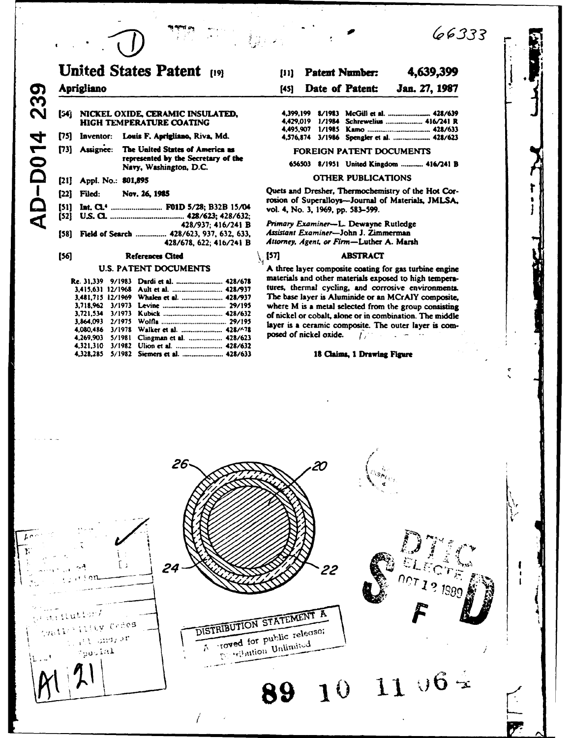# **United States Patent [19]**  $[11]$ Aprigliano  $f451$ [54] NICKEL OXIDE, CERAMIC INSULATED, HIGH TEMPERATURE COATING [75] Inventor: Louis F. Aprigliano, Riva, Md. [73] Assignee: The United States of America as represented by the Secretary of the Navy, Washington, D.C.

# [21] Appl. No.: 801,895

### [22] Filed: Nov. 26, 1985

|  | [51] Int. CL <sup>4</sup> F01D 5/28; B32B 15/0 |  |  |  |
|--|------------------------------------------------|--|--|--|
|  |                                                |  |  |  |
|  | 428/937: 416/241                               |  |  |  |

[58] Field of Search ............... 428/623, 937, 632, 633, 428/678, 622; 416/241 B

### $[56]$ References Cited

# **U.S. PATENT DOCUMENTS**

|  | Re. 31,339    9/1983   Dardi et al.  428/678 |  |
|--|----------------------------------------------|--|
|  |                                              |  |
|  | 3,481,715 12/1969 Whalen et al.  428/937     |  |
|  |                                              |  |
|  |                                              |  |
|  |                                              |  |
|  | 4,080,486 3/1978 Walker et al.  428/678      |  |
|  | 4,269,903 5/1981 Clingman et al.  428/623    |  |
|  |                                              |  |
|  | 4.328.285 5/1982 Siemers et al.  428/633     |  |

## 4,639,399 **Patent Number:**

66333

## Date of Patent: Jan. 27, 1987

# FOREIGN PATENT DOCUMENTS

656503 8/1951 United Kingdom ............ 416/241 B

# **OTHER PUBLICATIONS**

Quets and Dresher, Thermochemistry of the Hot Corrosion of Superalloys--Journal of Materials, JMLSA, vol. 4, No. 3, 1969, pp. 583-599.

Primary Examiner-L. Dewayne Rutledge Assistant Examiner-John J. Zimmerman Attorney, Agent, or Firm-Luther A. Marsh

## $\setminus$  [57] **ABSTRACT**

A three layer composite coating for gas turbine engine materials and other materials exposed to high temperatures, thermal cycling, and corrosive environments. The base layer is Aluminide or an MCrAlY composite, where M is a metal selected from the group consisting of nickel or cobalt, alone or in combination. The middle layer is a ceramic composite. The outer layer is composed of nickel oxide.  $\mathcal{L}_{\mathcal{L}}$ 

## 18 Claims, 1 Drawing Figure

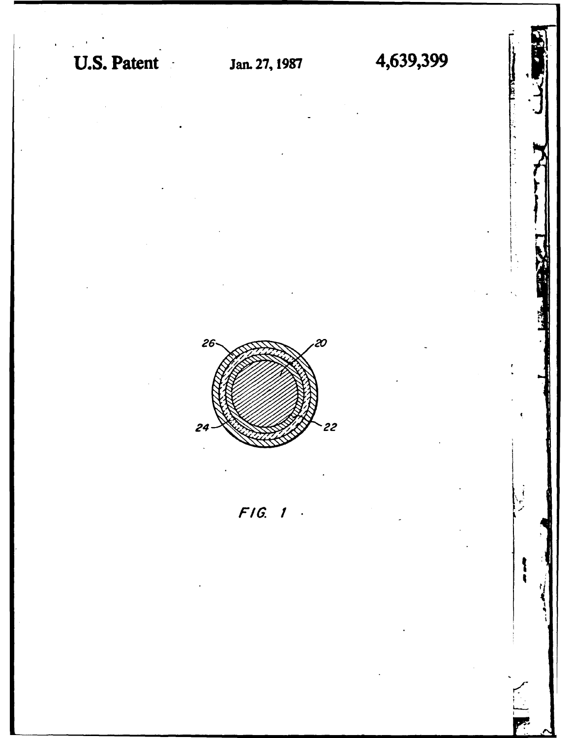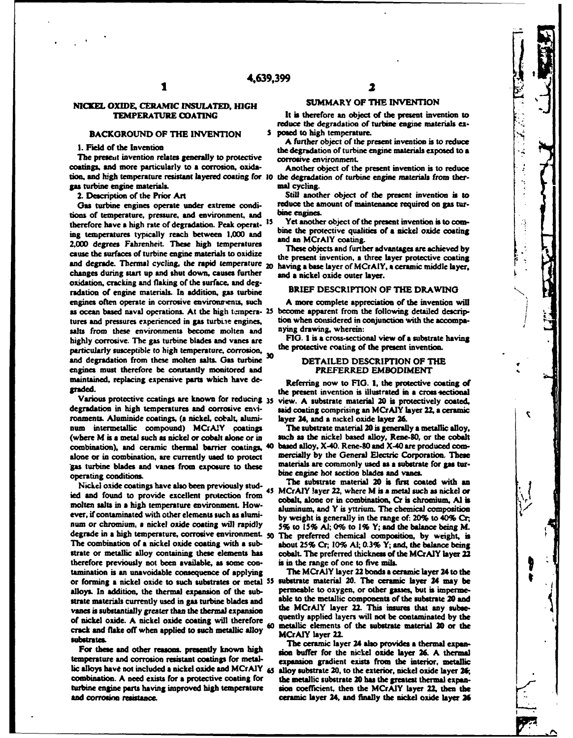# **NICKEL** OXIDE, CERAMIC **INSULATED, HIGH** SUMMARY OF THE **INVENTION**

# **BACKGROUND OF THE INVENTION 5 posed to high temperature.**

The present invention relates generally to protective corrosive environment. coatings, and more particularly to **a** corrosion, oxida- Another object of the **present** invention is to reduce **tion** and **Igh** temperature resistant layered coating for **10 the** degradation of turbine engine materials from thergas turbine engine materials. **Maluku many controls and cycling.** 

Gas turbine engines operate under extreme condi-<br>the of temperature, pressure, and environment and **bine engines**. tions of temperature, pressure, and environment, and **bine engines.**<br>therefore have a high rate of degradation. Peak operat, <sup>15</sup> Yet another object of the present invention is to comtherefore have **a** high rate of degradation. **Peak** operat- **IS** Yet another object of the present invention is to coming temperatures typically reach between 1,000 and<br>2,000 degrees Fahrenheit. These high temperatures<br>cause the surfaces of turbine engine materials to oxidize<br>the present invention, a three layer protective coating<br>the pre and degrade. Thermal cycling, the rapid temperature 20 having **a** base layer of MCrAIY, **a** ceramic middle layer, changes during start up and shut down, causes further and a nickel oxide outer layer. oxidation, cracking and flaking of the surface, and **deg**radation of engine materials. In addition, **gas** turbine BRIEF **DESCRIPTION** OF THE DRAWING engines often operate in corrosive environmens, such **A** more complete appreciation of the invention will as ocean based naval operations. At the high tempera- 25 become apparent from the following detailed descriptures and pressures experienced in gas turbine engines, tion when considered in conjunction with the accompa-<br>salts, from these environments, become molten and a *ying drawing*, wherein: salts from these environments become molten and nying drawing, wherein:<br>highly corrosive. The gas turbine blades and vanes are FIG. 1 is a cross-sectional view of a substrate having highly corrosive. The gas turbine blades and vanes are **FIG. I is a cross-sectional view of a substrate** narrivalently successible to high temperature corrosion. the protective coating of the present invention. particularly susceptible to high temperature, corrosion, 30 and degradation from these molten salts. Gas turbine <sup>30</sup> DETAILED DESCRIPTION OF THE engines must therefore be constantly monitored **and** PREFERRED **EMBODIMENT %** maintained, replacing expensive parts which have de- Referring now to **FIG. I,** the protective coating of

degradation in high temperatures and corrosive en~i- **said** coating comprising an MCrAIY layer 22, **a** ceramic ronments. Aluminide coatings, **(a** nickel, cobalt, alumi- layer **24,** and **a** nickel oxide layer 2 num intermetallic compound) MCrAIY coatings The substrate material 20 is generally a metallic alloy, (where M is a metal such as nickel or cobalt alone or in such as the nickel based alloy, Rene-80, or the cobalt (where M is a metal such as nickel or cobalt alone or in combination), and ceramic thermal barrier coatings, 40 **baed** alloy, X-40. Rene-SO and X-40 **are** produced **corn**alone or in combination, are currently used to protect mercially by the General Electric Corporation. These examples and vance from exposure to these materials are commonly used as a substrate for gas tur**gas** turbine blades and vanes from exposure to these materials are commonly used as a substrate for **gas** turoperating conditions.<br> **bine engine hot section blades and vanes.**<br> **bine engine hot section blades and vanes.**<br> **bine substrate material 20** is first coated with an

Nickel oxide coatings have also been previously stud-<br>denote found an anomial angular material 20 is first coated with an anomal 20 is first coated with an analysis of ied and found to provide excellent protection from **45** MCrAIY layer **22,** where M is **a** metal *such* as nickel or molten salts in a high temperature environment. How-<br>aluminum, and Y is yttrium. The chemical composition ever. if contaminated with other elements such as alumi- **by** weight is generally in the range of: 20% to 40% **Cr. nun** or chromium, **a** nickel oxide coating will rapidly **5%** to **15% AI; 0%** to **1%** Y; **and the** balance being M. degrade in **a** high temperature, corrosive environment- **50** The preferred chemical composition, **by** weight, is The combination of a nickel oxide coating with **a** sub- about **25%** Cr; **10% A; 0.3%** Y; and, the **balance** being strate or metallic alloy containing these elements has cobalt. The preferred thickness of the MCrAIY layer 22 therefore previously not **been** available, **as** some con- is in the range of one to five mils. tamination is an unavoidable consequence of applying The MCrAIY layer 22 bonds **a** ceramic layer 24 to the or forming a nickel oxide to such substrates or metal <sup>55</sup> alloys. In addition, the thermal expansion of the sub- permeable to oxygen, or other **gasses** but is impermestrate materials currently used in **gas** turbine blades **nd** able to the metallic components of the substrate 20 and vanes is substantially greater than the thermal expansion the MCrAIY layer 22. This insures that any subse-<br>of night a sight a sight anide exering will therefore quently applied layers will not be contaminated by the of nickel oxide. A nickel oxide coating will therefore<br>crack and flake off when applied to such metallic alloy<br>metallic elements of the substrate material 20 or the<br>metallic substrate material 20 or the<br>metallic substrate substrates. **The** ceramic layer **24** also provides **a** thermal expan-

temperature **and** corrosion resistant coatings for metal- expansion gradient exists from the interior, metallic lic alloys have not included a nickel oxide and MCrAIY **65** alloy substrate 20, to the exterior, nickel oxide layer 26; combination. **A** need exists for **a** protective coating for the metallic substrate **20 has** the greatest thermal expanturbine engine **parts** having improved high temperature **sion** coefficient, then the MCrAIY layer 22, then the

TEMPERATURE **COATING** It is therefore an object of the present invention to reduce the degradation of turbine engine materials **ex-**

**<sup>A</sup>**further object of the present invention **is** to reduce **I. Field of** *the* **Invention** the degradation of turbine engine material exposed to **<sup>a</sup>**

2. Description of the Prior Art Still another object of the present invention **is** to

graded. **Examples the present invention is illustrated in a cross sectional** Various protective ccatings are known for reducing 35 view. **A** substrate material 20 is protectively coated,

 $\overline{\mathbf{S}}$ 

For these and other reasons. presently known high sion buffer for the nickel oxide layer 26. A thermal ceramic layer 24, and finally the nickel oxide layer 26